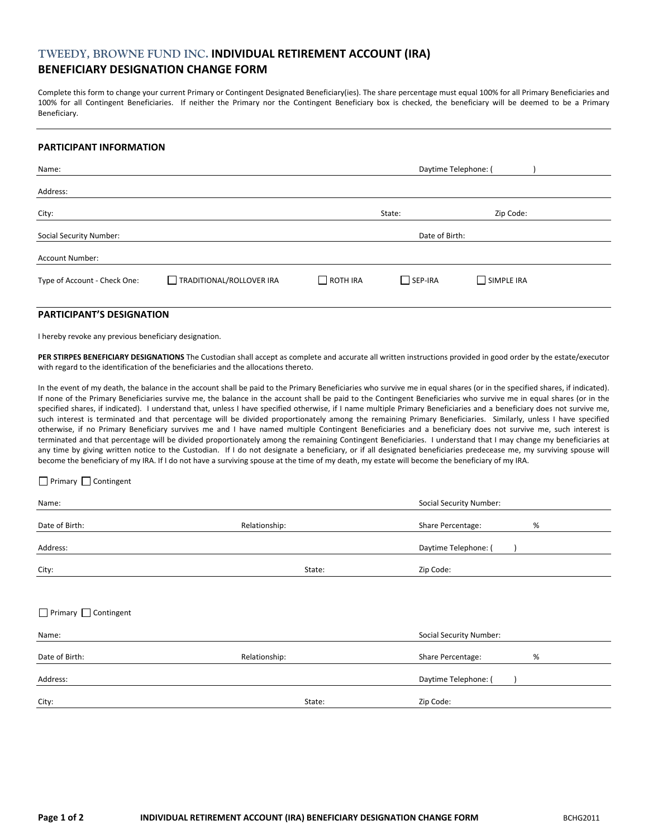# **TWEEDY, BROWNE FUND INC. INDIVIDUAL RETIREMENT ACCOUNT (IRA) BENEFICIARY DESIGNATION CHANGE FORM**

Complete this form to change your current Primary or Contingent Designated Beneficiary(ies). The share percentage must equal 100% for all Primary Beneficiaries and 100% for all Contingent Beneficiaries. If neither the Primary nor the Contingent Beneficiary box is checked, the beneficiary will be deemed to be a Primary Beneficiary.

#### **PARTICIPANT INFORMATION**

| Name:                          | Daytime Telephone: (     |                 |                |            |  |
|--------------------------------|--------------------------|-----------------|----------------|------------|--|
| Address:                       |                          |                 |                |            |  |
| City:                          |                          |                 | State:         | Zip Code:  |  |
| <b>Social Security Number:</b> |                          | Date of Birth:  |                |            |  |
| Account Number:                |                          |                 |                |            |  |
| Type of Account - Check One:   | TRADITIONAL/ROLLOVER IRA | $\Box$ ROTH IRA | $\Box$ SEP-IRA | SIMPLE IRA |  |

## **PARTICIPANT'S DESIGNATION**

I hereby revoke any previous beneficiary designation.

**PER STIRPES BENEFICIARY DESIGNATIONS** The Custodian shall accept as complete and accurate all written instructions provided in good order by the estate/executor with regard to the identification of the beneficiaries and the allocations thereto.

In the event of my death, the balance in the account shall be paid to the Primary Beneficiaries who survive me in equal shares (or in the specified shares, if indicated). If none of the Primary Beneficiaries survive me, the balance in the account shall be paid to the Contingent Beneficiaries who survive me in equal shares (or in the specified shares, if indicated). I understand that, unless I have specified otherwise, if I name multiple Primary Beneficiaries and a beneficiary does not survive me, such interest is terminated and that percentage will be divided proportionately among the remaining Primary Beneficiaries. Similarly, unless I have specified otherwise, if no Primary Beneficiary survives me and I have named multiple Contingent Beneficiaries and a beneficiary does not survive me, such interest is terminated and that percentage will be divided proportionately among the remaining Contingent Beneficiaries. I understand that I may change my beneficiaries at any time by giving written notice to the Custodian. If I do not designate a beneficiary, or if all designated beneficiaries predecease me, my surviving spouse will become the beneficiary of my IRA. If I do not have a surviving spouse at the time of my death, my estate will become the beneficiary of my IRA.

#### ■ Primary ■ Contingent

| Name:                            |               | Social Security Number:        |
|----------------------------------|---------------|--------------------------------|
| Date of Birth:                   | Relationship: | Share Percentage:<br>%         |
| Address:                         |               | Daytime Telephone: (           |
| City:                            | State:        | Zip Code:                      |
|                                  |               |                                |
| $\Box$ Primary $\Box$ Contingent |               |                                |
| Name:                            |               | <b>Social Security Number:</b> |
| Date of Birth:                   | Relationship: | Share Percentage:<br>%         |
| Address:                         |               | Daytime Telephone: (           |
| City:                            | State:        | Zip Code:                      |